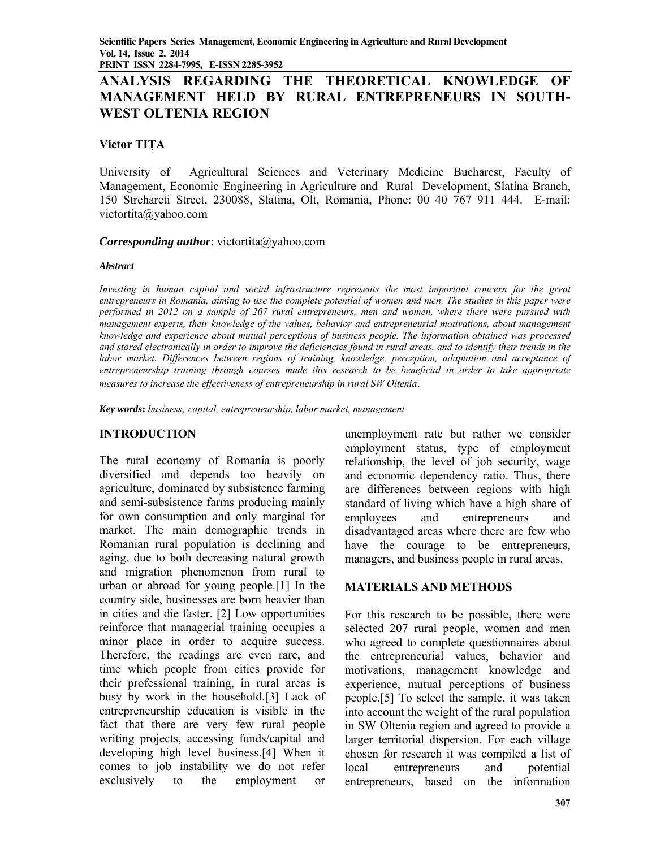# **ANALYSIS REGARDING THE THEORETICAL KNOWLEDGE OF MANAGEMENT HELD BY RURAL ENTREPRENEURS IN SOUTH-WEST OLTENIA REGION**

### **Victor TIŢA**

University of Agricultural Sciences and Veterinary Medicine Bucharest, Faculty of Management, Economic Engineering in Agriculture and Rural Development, Slatina Branch, 150 Strehareti Street, 230088, Slatina, Olt, Romania, Phone: 00 40 767 911 444. E-mail: victortita@yahoo.com

### *Corresponding author*: victortita@yahoo.com

### *Abstract*

*Investing in human capital and social infrastructure represents the most important concern for the great entrepreneurs in Romania, aiming to use the complete potential of women and men. The studies in this paper were performed in 2012 on a sample of 207 rural entrepreneurs, men and women, where there were pursued with management experts, their knowledge of the values, behavior and entrepreneurial motivations, about management knowledge and experience about mutual perceptions of business people. The information obtained was processed and stored electronically in order to improve the deficiencies found in rural areas, and to identify their trends in the labor market. Differences between regions of training, knowledge, perception, adaptation and acceptance of entrepreneurship training through courses made this research to be beneficial in order to take appropriate measures to increase the effectiveness of entrepreneurship in rural SW Oltenia*.

*Key words***:** *business, capital, entrepreneurship, labor market, management* 

### **INTRODUCTION**

The rural economy of Romania is poorly diversified and depends too heavily on agriculture, dominated by subsistence farming and semi-subsistence farms producing mainly for own consumption and only marginal for market. The main demographic trends in Romanian rural population is declining and aging, due to both decreasing natural growth and migration phenomenon from rural to urban or abroad for young people.[1] In the country side, businesses are born heavier than in cities and die faster. [2] Low opportunities reinforce that managerial training occupies a minor place in order to acquire success. Therefore, the readings are even rare, and time which people from cities provide for their professional training, in rural areas is busy by work in the household.[3] Lack of entrepreneurship education is visible in the fact that there are very few rural people writing projects, accessing funds/capital and developing high level business.[4] When it comes to job instability we do not refer exclusively to the employment or

unemployment rate but rather we consider employment status, type of employment relationship, the level of job security, wage and economic dependency ratio. Thus, there are differences between regions with high standard of living which have a high share of employees and entrepreneurs and disadvantaged areas where there are few who have the courage to be entrepreneurs, managers, and business people in rural areas.

### **MATERIALS AND METHODS**

For this research to be possible, there were selected 207 rural people, women and men who agreed to complete questionnaires about the entrepreneurial values, behavior and motivations, management knowledge and experience, mutual perceptions of business people.[5] To select the sample, it was taken into account the weight of the rural population in SW Oltenia region and agreed to provide a larger territorial dispersion. For each village chosen for research it was compiled a list of local entrepreneurs and potential entrepreneurs, based on the information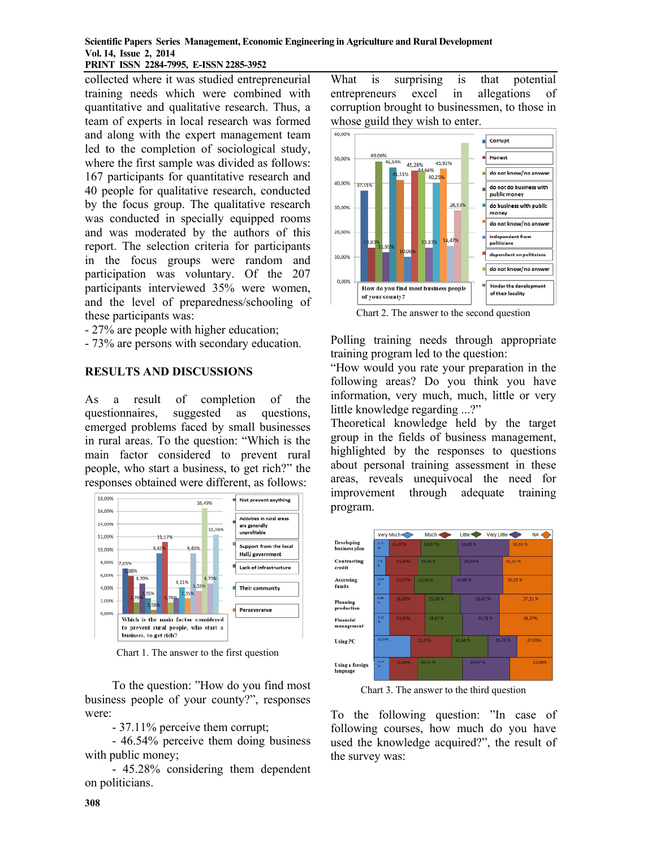#### **Scientific Papers Series Management, Economic Engineering in Agriculture and Rural Development Vol. 14, Issue 2, 2014 PRINT ISSN 2284-7995, E-ISSN 2285-3952**

collected where it was studied entrepreneurial training needs which were combined with quantitative and qualitative research. Thus, a team of experts in local research was formed and along with the expert management team led to the completion of sociological study, where the first sample was divided as follows: 167 participants for quantitative research and 40 people for qualitative research, conducted by the focus group. The qualitative research was conducted in specially equipped rooms and was moderated by the authors of this report. The selection criteria for participants in the focus groups were random and participation was voluntary. Of the 207 participants interviewed 35% were women, and the level of preparedness/schooling of these participants was:

- 27% are people with higher education;
- 73% are persons with secondary education.

### **RESULTS AND DISCUSSIONS**

As a result of completion of the questionnaires, suggested as questions, emerged problems faced by small businesses in rural areas. To the question: "Which is the main factor considered to prevent rural people, who start a business, to get rich?" the responses obtained were different, as follows:



Chart 1. The answer to the first question

To the question: "How do you find most business people of your county?", responses were:

- 37.11% perceive them corrupt;

- 46.54% perceive them doing business with public money;

- 45.28% considering them dependent on politicians.

What is surprising is that potential entrepreneurs excel in allegations of corruption brought to businessmen, to those in whose guild they wish to enter.



Chart 2. The answer to the second question

Polling training needs through appropriate training program led to the question:

"How would you rate your preparation in the following areas? Do you think you have information, very much, much, little or very little knowledge regarding ...?"

Theoretical knowledge held by the target group in the fields of business management, highlighted by the responses to questions about personal training assessment in these areas, reveals unequivocal the need for improvement through adequate training program.



Chart 3. The answer to the third question

To the following question: "In case of following courses, how much do you have used the knowledge acquired?", the result of the survey was: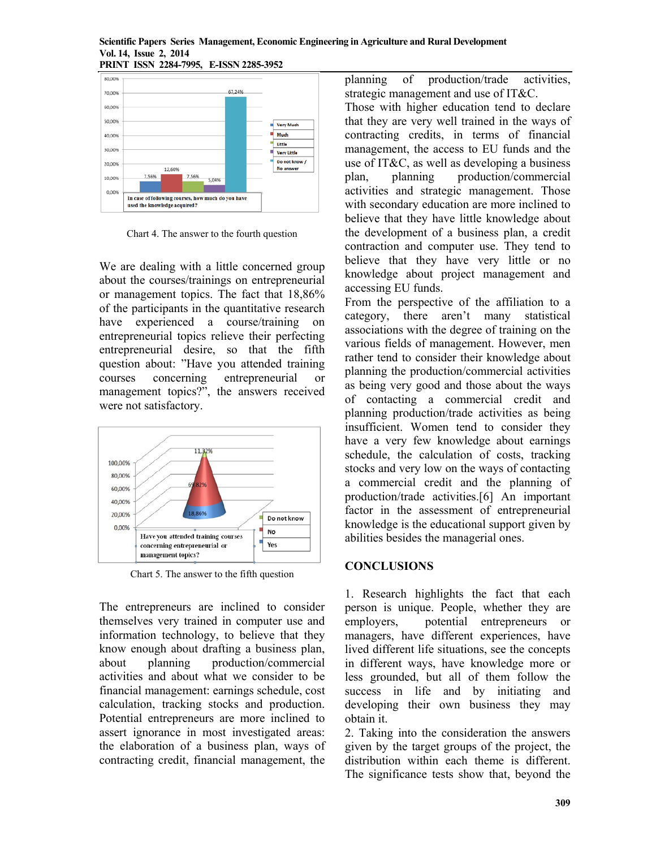#### **Scientific Papers Series Management, Economic Engineering in Agriculture and Rural Development Vol. 14, Issue 2, 2014 PRINT ISSN 2284-7995, E-ISSN 2285-3952**



Chart 4. The answer to the fourth question

We are dealing with a little concerned group about the courses/trainings on entrepreneurial or management topics. The fact that 18,86% of the participants in the quantitative research have experienced a course/training on entrepreneurial topics relieve their perfecting entrepreneurial desire, so that the fifth question about: "Have you attended training courses concerning entrepreneurial or management topics?", the answers received were not satisfactory.



Chart 5. The answer to the fifth question

The entrepreneurs are inclined to consider themselves very trained in computer use and information technology, to believe that they know enough about drafting a business plan, about planning production/commercial activities and about what we consider to be financial management: earnings schedule, cost calculation, tracking stocks and production. Potential entrepreneurs are more inclined to assert ignorance in most investigated areas: the elaboration of a business plan, ways of contracting credit, financial management, the

planning of production/trade activities, strategic management and use of IT&C.

Those with higher education tend to declare that they are very well trained in the ways of contracting credits, in terms of financial management, the access to EU funds and the use of IT&C, as well as developing a business plan, planning production/commercial activities and strategic management. Those with secondary education are more inclined to believe that they have little knowledge about the development of a business plan, a credit contraction and computer use. They tend to believe that they have very little or no knowledge about project management and accessing EU funds.

From the perspective of the affiliation to a category, there aren't many statistical associations with the degree of training on the various fields of management. However, men rather tend to consider their knowledge about planning the production/commercial activities as being very good and those about the ways of contacting a commercial credit and planning production/trade activities as being insufficient. Women tend to consider they have a very few knowledge about earnings schedule, the calculation of costs, tracking stocks and very low on the ways of contacting a commercial credit and the planning of production/trade activities.[6] An important factor in the assessment of entrepreneurial knowledge is the educational support given by abilities besides the managerial ones.

## **CONCLUSIONS**

1. Research highlights the fact that each person is unique. People, whether they are employers, potential entrepreneurs or managers, have different experiences, have lived different life situations, see the concepts in different ways, have knowledge more or less grounded, but all of them follow the success in life and by initiating and developing their own business they may obtain it.

2. Taking into the consideration the answers given by the target groups of the project, the distribution within each theme is different. The significance tests show that, beyond the